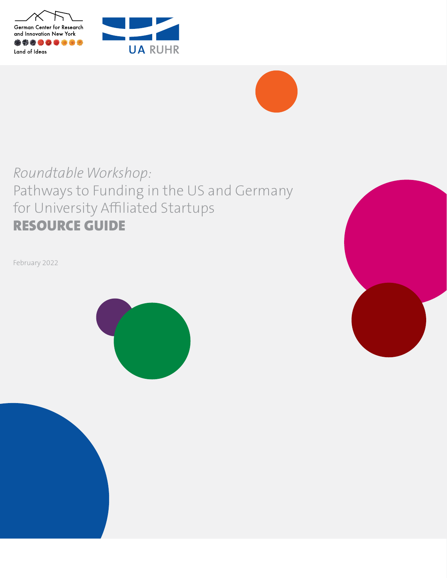





# *Roundtable Workshop:*  Pathways to Funding in the US and Germany for University Affiliated Startups RESOURCE GUIDE

February 2022



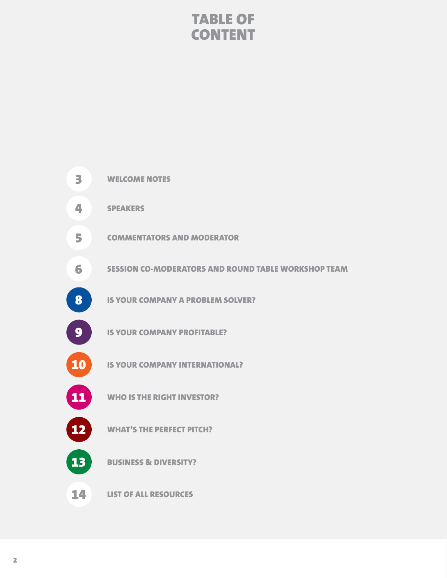## TABLE OF **CONTENT**

| 3  | <b>WELCOME NOTES</b>                                       |
|----|------------------------------------------------------------|
| 4  | <b>SPEAKERS</b>                                            |
| 5  | <b>COMMENTATORS AND MODERATOR</b>                          |
| 6  | <b>SESSION CO-MODERATORS AND ROUND TABLE WORKSHOP TEAM</b> |
| 8  | <b>IS YOUR COMPANY A PROBLEM SOLVER?</b>                   |
| 9  | <b>IS YOUR COMPANY PROFITABLE?</b>                         |
| 10 | <b>IS YOUR COMPANY INTERNATIONAL?</b>                      |
| 11 | <b>WHO IS THE RIGHT INVESTOR?</b>                          |
| 12 | <b>WHAT'S THE PERFECT PITCH?</b>                           |
| 13 | <b>BUSINESS &amp; DIVERSITY?</b>                           |
| 14 | <b>LIST OF ALL RESOURCES</b>                               |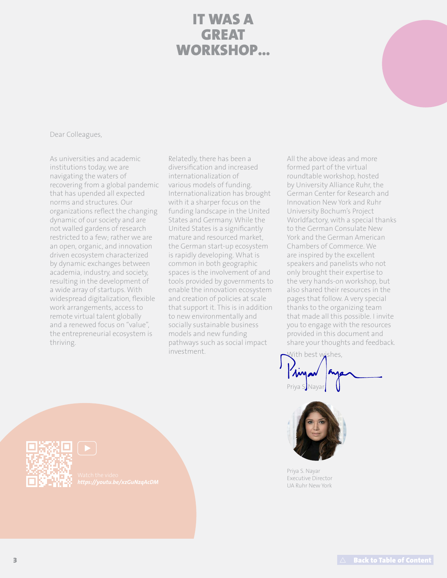### IT WAS A GREAT WORKSHOP...

Dear Colleagues,

As universities and academic institutions today, we are navigating the waters of recovering from a global pandemic that has upended all expected norms and structures. Our organizations reflect the changing dynamic of our society and are not walled gardens of research restricted to a few; rather we are an open, organic, and innovation driven ecosystem characterized by dynamic exchanges between academia, industry, and society, resulting in the development of a wide array of startups. With widespread digitalization, flexible work arrangements, access to remote virtual talent globally and a renewed focus on "value", the entrepreneurial ecosystem is thriving.

Relatedly, there has been a diversification and increased internationalization of various models of funding. Internationalization has brought with it a sharper focus on the funding landscape in the United States and Germany. While the United States is a significantly mature and resourced market, the German start-up ecosystem is rapidly developing. What is common in both geographic spaces is the involvement of and tools provided by governments to enable the innovation ecosystem and creation of policies at scale that support it. This is in addition to new environmentally and socially sustainable business models and new funding pathways such as social impact investment.

All the above ideas and more formed part of the virtual roundtable workshop, hosted by University Alliance Ruhr, the German Center for Research and Innovation New York and Ruhr University Bochum's Project Worldfactory, with a special thanks to the German Consulate New York and the German American Chambers of Commerce. We are inspired by the excellent speakers and panelists who not only brought their expertise to the very hands-on workshop, but also shared their resources in the pages that follow. A very special thanks to the organizing team that made all this possible. I invite you to engage with the resources provided in this document and share your thoughts and feedback.

lith best wishes. Priya S. Nayar



Priya S. Nayar Executive Director UA Ruhr New York

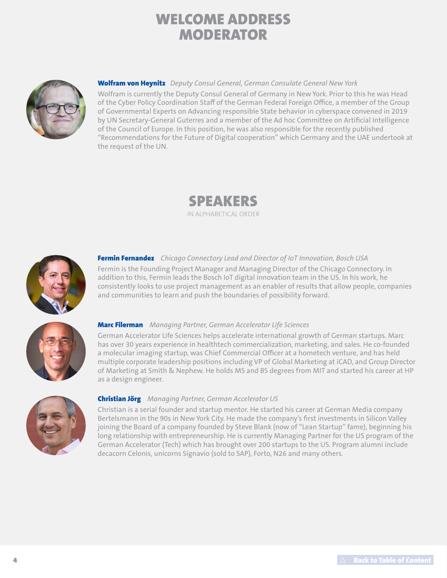# WELCOME ADDRESS MODERATOR



### Wolfram von Heynitz *Deputy Consul General, German Consulate General New York*

Wolfram is currently the Deputy Consul General of Germany in New York. Prior to this he was Head of the Cyber Policy Coordination Staff of the German Federal Foreign Office, a member of the Group of Governmental Experts on Advancing responsible State behavior in cyberspace convened in 2019 by UN Secretary-General Guterres and a member of the Ad hoc Committee on Artificial Intelligence of the Council of Europe. In this position, he was also responsible for the recently published "Recommendations for the Future of Digital cooperation" which Germany and the UAE undertook at the request of the UN.





### Fermin Fernandez *Chicago Connectory Lead and Director of IoT Innovation, Bosch USA*

Fermin is the Founding Project Manager and Managing Director of the Chicago Connectory. In addition to this, Fermin leads the Bosch IoT digital innovation team in the US. In his work, he consistently looks to use project management as an enabler of results that allow people, companies and communities to learn and push the boundaries of possibility forward.



### Marc Filerman *Managing Partner, German Accelerator Life Sciences*

German Accelerator Life Sciences helps accelerate international growth of German startups. Marc has over 30 years experience in healthtech commercialization, marketing, and sales. He co-founded a molecular imaging startup, was Chief Commercial Officer at a hometech venture, and has held multiple corporate leadership positions including VP of Global Marketing at iCAD, and Group Director of Marketing at Smith & Nephew. He holds MS and BS degrees from MIT and started his career at HP as a design engineer.



### Christian Jörg *Managing Partner, German Accelerator US*

Christian is a serial founder and startup mentor. He started his career at German Media company Bertelsmann in the 90s in New York City. He made the company's first investments in Silicon Valley joining the Board of a company founded by Steve Blank (now of "Lean Startup" fame), beginning his long relationship with entrepreneurship. He is currently Managing Partner for the US program of the German Accelerator (Tech) which has brought over 200 startups to the US. Program alumni include decacorn Celonis, unicorns Signavio (sold to SAP), Forto, N26 and many others.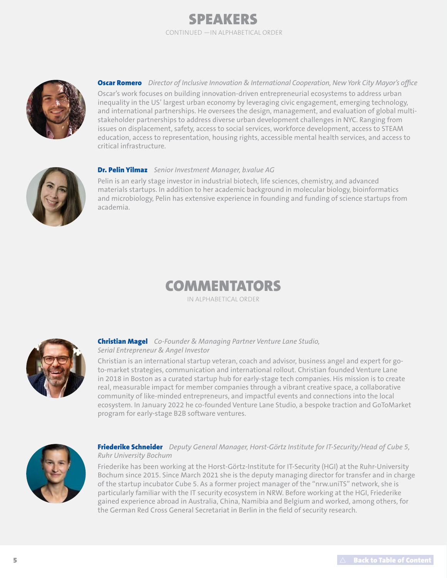



Oscar Romero *Director of Inclusive Innovation & International Cooperation, New York City Mayor's office*  Oscar's work focuses on building innovation-driven entrepreneurial ecosystems to address urban inequality in the US' largest urban economy by leveraging civic engagement, emerging technology, and international partnerships. He oversees the design, management, and evaluation of global multistakeholder partnerships to address diverse urban development challenges in NYC. Ranging from issues on displacement, safety, access to social services, workforce development, access to STEAM education, access to representation, housing rights, accessible mental health services, and access to critical infrastructure.



### Dr. Pelin Yilmaz *Senior Investment Manager, b.value AG*

Pelin is an early stage investor in industrial biotech, life sciences, chemistry, and advanced materials startups. In addition to her academic background in molecular biology, bioinformatics and microbiology, Pelin has extensive experience in founding and funding of science startups from academia.

### COMMENTATORS

IN ALPHABETICAL ORDER



### Christian Magel *Co-Founder & Managing Partner Venture Lane Studio, Serial Entrepreneur & Angel Investor*

Christian is an international startup veteran, coach and advisor, business angel and expert for goto-market strategies, communication and international rollout. Christian founded Venture Lane in 2018 in Boston as a curated startup hub for early-stage tech companies. His mission is to create real, measurable impact for member companies through a vibrant creative space, a collaborative community of like-minded entrepreneurs, and impactful events and connections into the local ecosystem. In January 2022 he co-founded Venture Lane Studio, a bespoke traction and GoToMarket program for early-stage B2B software ventures.



### Friederike Schneider *Deputy General Manager, Horst-Görtz Institute for IT-Security/Head of Cube 5, Ruhr University Bochum*

Friederike has been working at the Horst-Görtz-Institute for IT-Security (HGI) at the Ruhr-University Bochum since 2015. Since March 2021 she is the deputy managing director for transfer and in charge of the startup incubator Cube 5. As a former project manager of the "nrw.uniTS" network, she is particularly familiar with the IT security ecosystem in NRW. Before working at the HGI, Friederike gained experience abroad in Australia, China, Namibia and Belgium and worked, among others, for the German Red Cross General Secretariat in Berlin in the field of security research.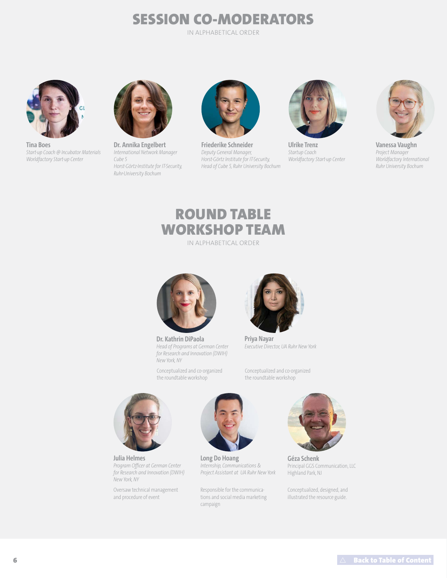# SESSION CO-MODERATORS

IN ALPHABETICAL ORDER



**Tina Boes** *Start-up Coach @ Incubator Materials Worldfactory Start-up Center*



**Dr. Annika Engelbert** *International Network Manager Cube 5 Horst-Görtz-Institute for IT-Security, Ruhr-University Bochum* 



**Friederike Schneider** *Deputy General Manager, Horst-Görtz Institute for IT-Security, Head of Cube 5, Ruhr University Bochum*



**Ulrike Trenz** *Startup Coach Worldfactory Start-up Center*



**Vanessa Vaughn** *Project Manager Worldfactory International Ruhr University Bochum*

### ROUND TABLE WORKSHOP TEAM

IN ALPHABETICAL ORDER



**Dr. Kathrin DiPaola** *Head of Programs at German Center for Research and Innovation (DWIH) New York, NY*

Conceptualized and co-organized the roundtable workshop



**Priya Nayar**  *Executive Director, UA Ruhr New York*

Conceptualized and co-organized the roundtable workshop



**Julia Helmes** *Program Officer at German Center for Research and Innovation (DWIH) New York, NY*

Oversaw technical management and procedure of event



**Long Do Hoang**  *Internship, Communications & Project Assistant at UA Ruhr New York*

Responsible for the communications and social media marketing campaign



**Géza Schenk** Principal GGS Communication, LLC Highland Park, NJ

Conceptualized, designed, and illustrated the resource guide.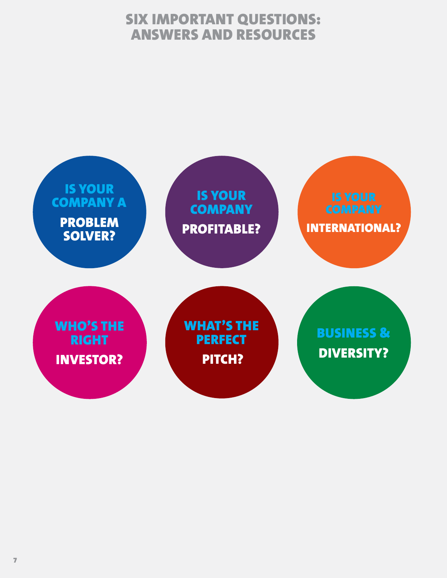## SIX IMPORTANT QUESTIONS: ANSWERS AND RESOURCES

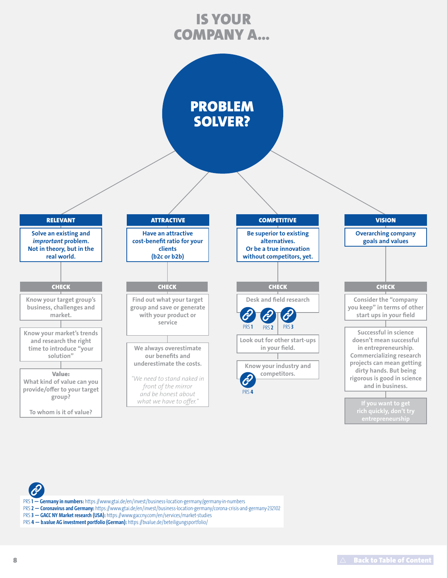## IS YOUR COMPANY A...



- PRS **1 — Germany in numbers:** https://www.gtai.de/en/invest/business-location-germany/germany-in-numbers
- PRS **2 — Coronavirus and Germany:** https://www.gtai.de/en/invest/business-location-germany/corona-crisis-and-germany-232102
- PRS **3 — GACC NY Market research (USA):** https://www.gaccny.com/en/services/market-studies
- PRS **4 — b.value AG investment portfolio (German):** https://bvalue.de/beteiligungsportfolio/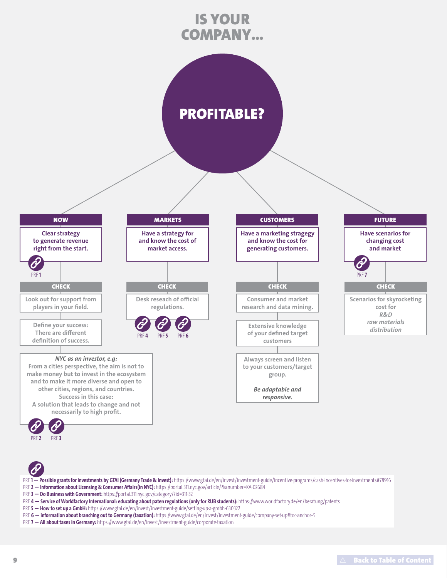# IS YOUR COMPANY...

# PROFITABLE?



### *NYC as an investor, e.g:*

**From a cities perspective, the aim is not to make money but to invest in the ecosystem and to make it more diverse and open to other cities, regions, and countries. Success in this case: A solution that leads to change and not necessarily to high profit.**



**Have a marketing stragegy and know the cost for generating customers.**

## **Consumer and market research and data mining.**

**Extensive knowledge** 

**of your defined target customers**

**Always screen and listen to your customers/target group.**

> *Be adaptable and responsive.*



[PRF](https://portal.311.nyc.gov/article/?kanumber=KA-02684) **2**

[PRF](https://portal.311.nyc.gov/category/?id=311-32) **3**

- PRF1-Possible grants for investments by GTAI (Germany Trade & Invest): https://www.gtai.de/en/invest/investment-guide/incentive-programs/cash-incentives-for-investments#78916
- PRF **2 — Information about Licensing & Consumer Affairs(in NYC):** https://portal.311.nyc.gov/article/?kanumber=KA-02684
- PRF **3 — Do Business with Government:** https://portal.311.nyc.gov/category/?id=311-32
- PRF 4 Service of Worldfactory International: educating about paten regulations (only for RUB students): https://www.worldfactory.de/en/beratung/patents
- PRF **5 — How to set up a GmbH:** https://www.gtai.de/en/invest/investment-guide/setting-up-a-gmbh-630322
- PRF 6 information about branching out to Germany (taxation): https://www.gtai.de/en/invest/investment-guide/company-set-up#toc-anchor-5
- PRF **7 — All about taxes in Germany:** https://www.gtai.de/en/invest/investment-guide/corporate-taxation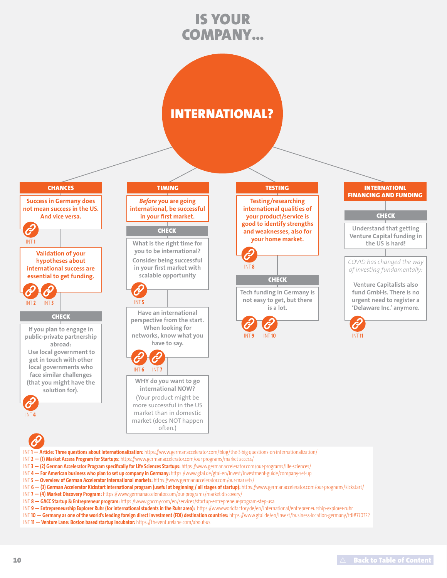# IS YOUR COMPANY...

## INTERNATIONAL?



*Before* **you are going international, be successful in your first market.**

### **CHECK**

**What is the right time for you to be international? Consider being successful in your first market with scalable opportunity**



**Have an international perspective from the start. When looking for networks, know what you have to say.**

[INT](https://www.germanaccelerator.com/our-programs/kickstart/) **6** [INT](https://www.germanaccelerator.com/our-programs/market-discovery/) **7**

**WHY do you want to go international NOW?**  (Your product might be more successful in the US market than in domestic market (does NOT happen often.)

**Testing/researching international qualities of your product/service is good to identify strengths and weaknesses, also for your home market.**



**CHECK** 

**Tech funding in Germany is not easy to get, but there is a lot.**





INT **1 — Article: Three questions about Internationalization:** https://www.germanaccelerator.com/blog/the-3-big-questions-on-internationalization/

- INT **2 — (1) Market Access Program for Startups:** https://www.germanaccelerator.com/our-programs/market-access/
- INT **3 — (2) German Accelerator Program specifically for Life Sciences Startups:** https://www.germanaccelerator.com/our-programs/life-sciences/
- INT **4 — For American business who plan to set up company in Germany:** https://www.gtai.de/gtai-en/invest/investment-guide/company-set-up
- INT **5 — Overview of German Accelerator International markets:** https://www.germanaccelerator.com/our-markets/
- INT **6 — (3) German Accelerator Kickstart International program (useful at beginning / all stages of startup):** https://www.germanaccelerator.com/our-programs/kickstart/
- INT **7 — (4) Market Discovery Program:** https://www.germanaccelerator.com/our-programs/market-discovery/
- INT **8 — GACC Startup & Entrepreneur program:** https://www.gaccny.com/en/services/startup-entrepreneur-program-step-usa
- INT **9 — Entrepreneurship Explorer Ruhr (for international students in the Ruhr area):** https://www.worldfactory.de/en/international/entrepreneurship-explorer-ruhr
- INT **10 — Germany as one of the world's leading foreign direct investment (FDI) destination countries:** https://www.gtai.de/en/invest/business-location-germany/fdi#770322
- INT **11 — Venture Lane: Boston based startup incubator:** https://theventurelane.com/about-us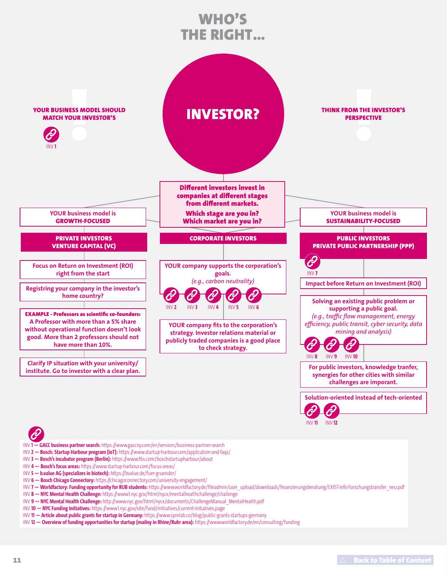# WHO'S THE RIGHT...



- INV **1 — GACC business partner search:** https://www.gaccny.com/en/services/business-partner-search
- INV **2 — Bosch: Startup Harbour program (IoT):** https://www.startup-harbour.com/application-and-faqs/
- INV **3 — Bosch's incubator program (Berlin):** https://www.f6s.com/boschstartupharbour/about
- INV **4 — Bosch's focus areas:** https://www.startup-harbour.com/focus-areas/
- INV **5 — b.value AG (specializes in biotech):** https://bvalue.de/fuer-gruender/
- INV **6 — Bosch Chicago Connectory:** https://chicagoconnectory.com/university-engagement/
- INV **7 Worldfactory: Funding opportunity for RUB students:** https://www.worldfactory.de/fileadmin/user\_upload/downloads/finanzierungsberatung/EXIST-Info-Forschungstransfer\_neu.pdf
- INV **8 — NYC Mental Health Challenge:** https://www1.nyc.gov/html/nycx/mentalhealthchallenge/challenge
- INV **9 — NYC Mental Health Challenge:** http://www.nyc.gov/html/nycx/documents/ChallengeManual\_MentalHealth.pdf
- INV **10 — NYC Funding Initiatives:** https://www1.nyc.gov/site/fund/initiatives/current-initiatives.page
- INV **11 — Article about public grants for startup in Germany:** https://www.spinlab.co/blog/public-grants-startups-germany
- INV **12 — Overview of funding opportunities for startup (mailny in Rhine/Ruhr area):** https://www.worldfactory.de/en/consulting/funding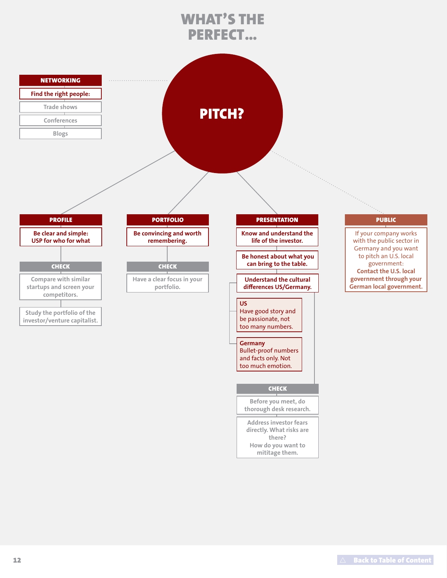# WHAT'S THE PERFECT...

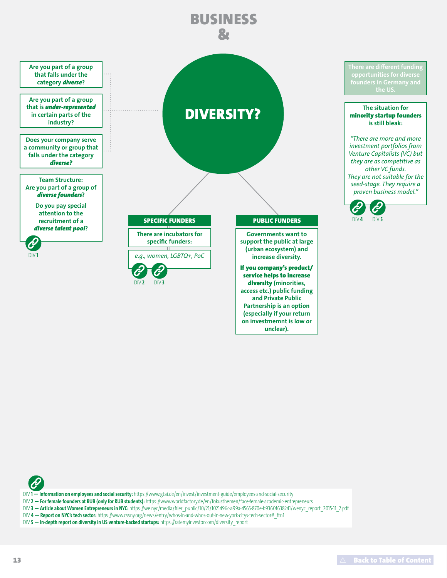

**on investmemnt is low or unclear).** 



DIV **1 — Information on employees and social security:** https://www.gtai.de/en/invest/investment-guide/employees-and-social-security

- DIV **2 — For female founders at RUB (only for RUB students):** https://www.worldfactory.de/en/fokusthemen/face-female-academic-entrepreneurs
- DIV **3 — Article about Women Entrepreneurs in NYC:** https://we.nyc/media/filer\_public/10/21/1021496c-a99a-4565-870e-b9360f638241/wenyc\_report\_2015-11\_2.pdf
- DIV 4 Report on NYC's tech sector: https://www.cssny.org/news/entry/whos-in-and-whos-out-in-new-york-citys-tech-sector# ftn1
- DIV 5 In-depth report on diversity in US venture-backed startups: https://ratemyinvestor.com/diversity\_report

**the US.**

[DIV](https://ratemyinvestor.com/diversity_report) **5**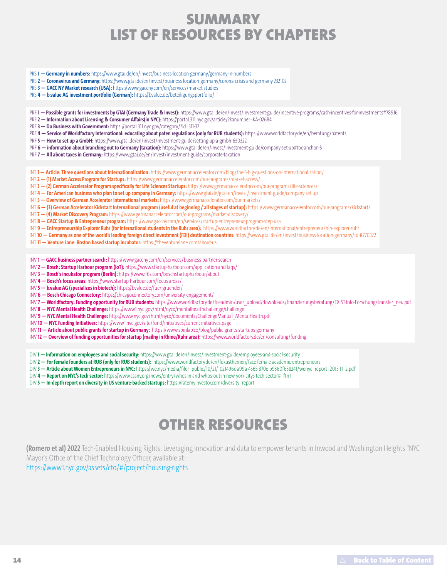## **SUMMARY** LIST OF RESOURCES BY CHAPTERS

- PRS **1 — Germany in numbers:** https://www.gtai.de/en/invest/business-location-germany/germany-in-numbers
- PRS **2 — Coronavirus and Germany:** https://www.gtai.de/en/invest/business-location-germany/corona-crisis-and-germany-232102
- PRS **3 — GACC NY Market research (USA):** https://www.gaccny.com/en/services/market-studies
- PRS **4 — b.value AG investment portfolio (German):** https://bvalue.de/beteiligungsportfolio/
- PRF1-Possible grants for investments by GTAI (Germany Trade & Invest): https://www.gtai.de/en/invest/investment-guide/incentive-programs/cash-incentives-for-investments#78916
- PRF **2 — Information about Licensing & Consumer Affairs(in NYC):** https://portal.311.nyc.gov/article/?kanumber=KA-02684
- PRF **3 — Do Business with Government:** https://portal.311.nyc.gov/category/?id=311-32
- PRF 4 Service of Worldfactory International: educating about paten regulations (only for RUB students): https://www.worldfactory.de/en/beratung/patents
- PRF **5 — How to set up a GmbH:** https://www.gtai.de/en/invest/investment-guide/setting-up-a-gmbh-630322
- PRF 6 information about branching out to Germany (taxation): https://www.gtai.de/en/invest/investment-guide/company-set-up#toc-anchor-5
- PRF **7 — All about taxes in Germany:** https://www.gtai.de/en/invest/investment-guide/corporate-taxation
- INT **1 — Article: Three questions about Internationalization:** https://www.germanaccelerator.com/blog/the-3-big-questions-on-internationalization/
- INT **2 — (1) Market Access Program for Startups:** https://www.germanaccelerator.com/our-programs/market-access/
- INT **3 — (2) German Accelerator Program specifically for Life Sciences Startups:** https://www.germanaccelerator.com/our-programs/life-sciences/
- INT **4 — For American business who plan to set up company in Germany:** https://www.gtai.de/gtai-en/invest/investment-guide/company-set-up
- INT **5 — Overview of German Accelerator International markets:** https://www.germanaccelerator.com/our-markets/
- INT **6 — (3) German Accelerator Kickstart International program (useful at beginning / all stages of startup):** https://www.germanaccelerator.com/our-programs/kickstart/
- INT **7 — (4) Market Discovery Program:** https://www.germanaccelerator.com/our-programs/market-discovery/
- INT **8 — GACC Startup & Entrepreneur program:** https://www.gaccny.com/en/services/startup-entrepreneur-program-step-usa
- INT **9 — Entrepreneurship Explorer Ruhr (for international students in the Ruhr area):** https://www.worldfactory.de/en/international/entrepreneurship-explorer-ruhr
- INT **10 — Germany as one of the world's leading foreign direct investment (FDI) destination countries:** https://www.gtai.de/en/invest/business-location-germany/fdi#770322
- INT **11 — Venture Lane: Boston based startup incubator:** https://theventurelane.com/about-us
- INV **1 — GACC business partner search:** https://www.gaccny.com/en/services/business-partner-search
- INV **2 — Bosch: Startup Harbour program (IoT):** https://www.startup-harbour.com/application-and-faqs/
- INV **3 — Bosch's incubator program (Berlin):** https://www.f6s.com/boschstartupharbour/about
- INV **4 — Bosch's focus areas:** https://www.startup-harbour.com/focus-areas/
- INV **5 — b.value AG (specializes in biotech):** https://bvalue.de/fuer-gruender/
- INV **6 — Bosch Chicago Connectory:** https://chicagoconnectory.com/university-engagement/
- INV 7 Worldfactory: Funding opportunity for RUB students: https://www.worldfactory.de/fileadmin/user\_upload/downloads/finanzierungsberatung/EXIST-Info-Forschungstransfer\_neu.pdf
- INV **8 — NYC Mental Health Challenge:** https://www1.nyc.gov/html/nycx/mentalhealthchallenge/challenge
- INV **9 — NYC Mental Health Challenge:** http://www.nyc.gov/html/nycx/documents/ChallengeManual\_MentalHealth.pdf
- INV **10 — NYC Funding Initiatives:** https://www1.nyc.gov/site/fund/initiatives/current-initiatives.page
- INV **11 — Article about public grants for startup in Germany:** https://www.spinlab.co/blog/public-grants-startups-germany
- INV **12 — Overview of funding opportunities for startup (mailny in Rhine/Ruhr area):** https://www.worldfactory.de/en/consulting/funding
- DIV **1 — Information on employees and social security:** https://www.gtai.de/en/invest/investment-guide/employees-and-social-security
- DIV **2 — For female founders at RUB (only for RUB students):** https://www.worldfactory.de/en/fokusthemen/face-female-academic-entrepreneurs
- DIV **3 — Article about Women Entrepreneurs in NYC:** https://we.nyc/media/filer\_public/10/21/1021496c-a99a-4565-870e-b9360f638241/wenyc\_report\_2015-11\_2.pdf
- DIV **4 — Report on NYC's tech sector:** https://www.cssny.org/news/entry/whos-in-and-whos-out-in-new-york-citys-tech-sector#\_ftn1
- DIV 5 In-depth report on diversity in US venture-backed startups: https://ratemyinvestor.com/diversity\_report

## OTHER RESOURCES

**(Romero et al) 2022** Tech-Enabled Housing Rights: Leveraging innovation and data to empower tenants in Inwood and Washington Heights "NYC Mayor's Office of the Chief Technology Officer, available at:

https://www1.nyc.gov/assets/cto/#/project/housing-rights